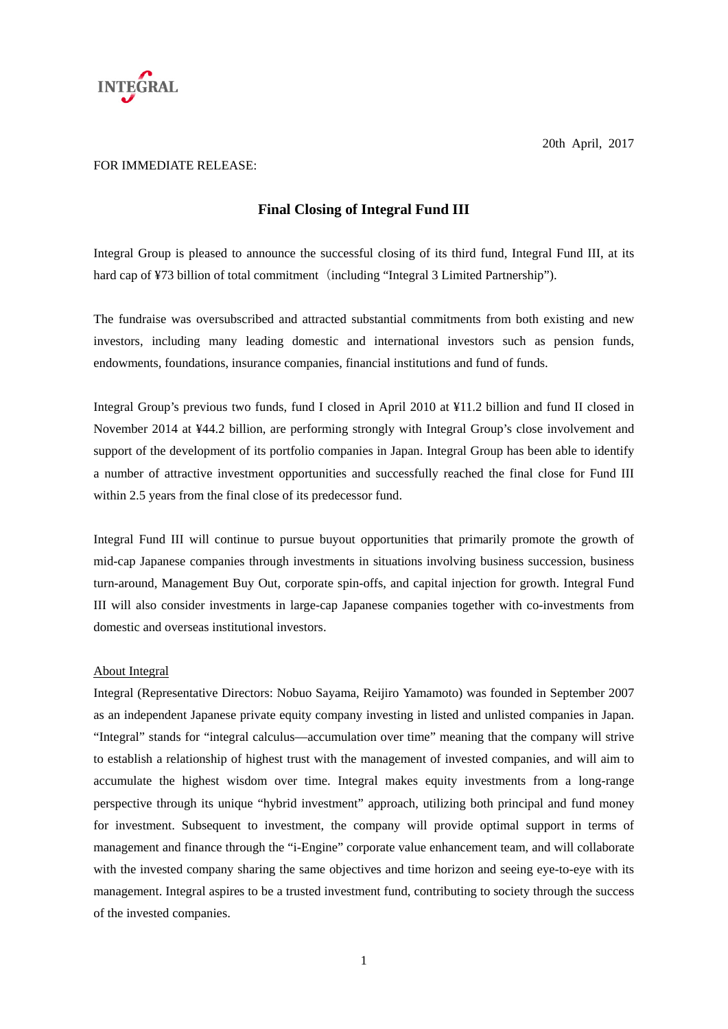

## FOR IMMEDIATE RELEASE:

## **Final Closing of Integral Fund III**

Integral Group is pleased to announce the successful closing of its third fund, Integral Fund III, at its hard cap of ¥73 billion of total commitment (including "Integral 3 Limited Partnership").

The fundraise was oversubscribed and attracted substantial commitments from both existing and new investors, including many leading domestic and international investors such as pension funds, endowments, foundations, insurance companies, financial institutions and fund of funds.

Integral Group's previous two funds, fund I closed in April 2010 at ¥11.2 billion and fund II closed in November 2014 at ¥44.2 billion, are performing strongly with Integral Group's close involvement and support of the development of its portfolio companies in Japan. Integral Group has been able to identify a number of attractive investment opportunities and successfully reached the final close for Fund III within 2.5 years from the final close of its predecessor fund.

Integral Fund III will continue to pursue buyout opportunities that primarily promote the growth of mid-cap Japanese companies through investments in situations involving business succession, business turn-around, Management Buy Out, corporate spin-offs, and capital injection for growth. Integral Fund III will also consider investments in large-cap Japanese companies together with co-investments from domestic and overseas institutional investors.

## About Integral

Integral (Representative Directors: Nobuo Sayama, Reijiro Yamamoto) was founded in September 2007 as an independent Japanese private equity company investing in listed and unlisted companies in Japan. "Integral" stands for "integral calculus—accumulation over time" meaning that the company will strive to establish a relationship of highest trust with the management of invested companies, and will aim to accumulate the highest wisdom over time. Integral makes equity investments from a long-range perspective through its unique "hybrid investment" approach, utilizing both principal and fund money for investment. Subsequent to investment, the company will provide optimal support in terms of management and finance through the "i-Engine" corporate value enhancement team, and will collaborate with the invested company sharing the same objectives and time horizon and seeing eye-to-eye with its management. Integral aspires to be a trusted investment fund, contributing to society through the success of the invested companies.